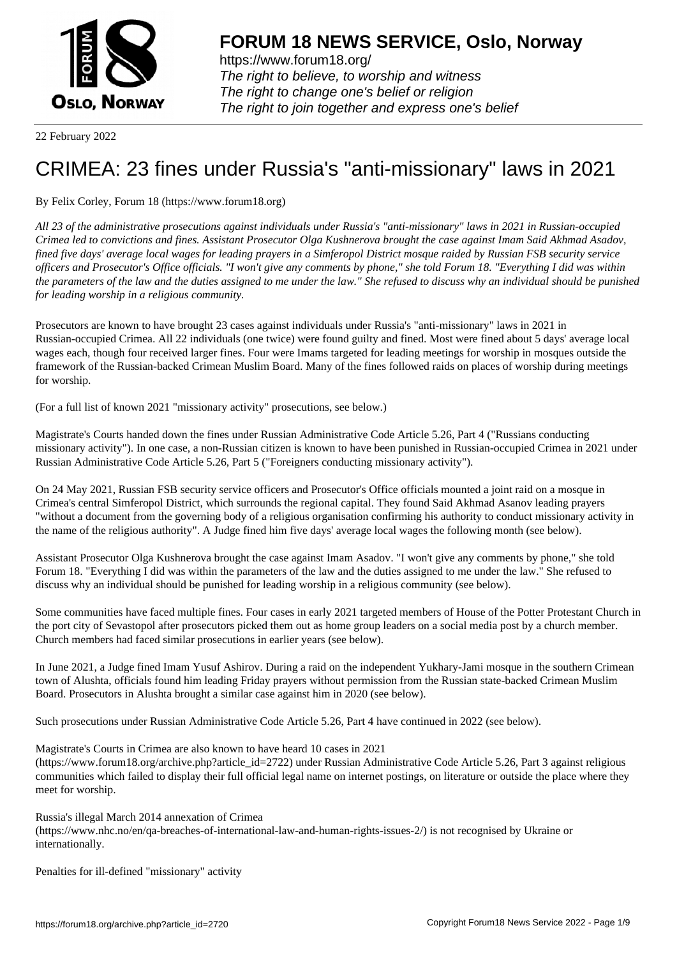

https://www.forum18.org/ The right to believe, to worship and witness The right to change one's belief or religion [The right to join together a](https://www.forum18.org/)nd express one's belief

22 February 2022

## [CRIMEA: 23 fin](https://www.forum18.org)es under Russia's "anti-missionary" laws in 2021

By Felix Corley, Forum 18 (https://www.forum18.org)

*All 23 of the administrative prosecutions against individuals under Russia's "anti-missionary" laws in 2021 in Russian-occupied Crimea led to convictions and fines. Assistant Prosecutor Olga Kushnerova brought the case against Imam Said Akhmad Asadov, fined five days' average local wages for leading prayers in a Simferopol District mosque raided by Russian FSB security service officers and Prosecutor's Office officials. "I won't give any comments by phone," she told Forum 18. "Everything I did was within the parameters of the law and the duties assigned to me under the law." She refused to discuss why an individual should be punished for leading worship in a religious community.*

Prosecutors are known to have brought 23 cases against individuals under Russia's "anti-missionary" laws in 2021 in Russian-occupied Crimea. All 22 individuals (one twice) were found guilty and fined. Most were fined about 5 days' average local wages each, though four received larger fines. Four were Imams targeted for leading meetings for worship in mosques outside the framework of the Russian-backed Crimean Muslim Board. Many of the fines followed raids on places of worship during meetings for worship.

(For a full list of known 2021 "missionary activity" prosecutions, see below.)

Magistrate's Courts handed down the fines under Russian Administrative Code Article 5.26, Part 4 ("Russians conducting missionary activity"). In one case, a non-Russian citizen is known to have been punished in Russian-occupied Crimea in 2021 under Russian Administrative Code Article 5.26, Part 5 ("Foreigners conducting missionary activity").

On 24 May 2021, Russian FSB security service officers and Prosecutor's Office officials mounted a joint raid on a mosque in Crimea's central Simferopol District, which surrounds the regional capital. They found Said Akhmad Asanov leading prayers "without a document from the governing body of a religious organisation confirming his authority to conduct missionary activity in the name of the religious authority". A Judge fined him five days' average local wages the following month (see below).

Assistant Prosecutor Olga Kushnerova brought the case against Imam Asadov. "I won't give any comments by phone," she told Forum 18. "Everything I did was within the parameters of the law and the duties assigned to me under the law." She refused to discuss why an individual should be punished for leading worship in a religious community (see below).

Some communities have faced multiple fines. Four cases in early 2021 targeted members of House of the Potter Protestant Church in the port city of Sevastopol after prosecutors picked them out as home group leaders on a social media post by a church member. Church members had faced similar prosecutions in earlier years (see below).

In June 2021, a Judge fined Imam Yusuf Ashirov. During a raid on the independent Yukhary-Jami mosque in the southern Crimean town of Alushta, officials found him leading Friday prayers without permission from the Russian state-backed Crimean Muslim Board. Prosecutors in Alushta brought a similar case against him in 2020 (see below).

Such prosecutions under Russian Administrative Code Article 5.26, Part 4 have continued in 2022 (see below).

Magistrate's Courts in Crimea are also known to have heard 10 cases in 2021

(https://www.forum18.org/archive.php?article\_id=2722) under Russian Administrative Code Article 5.26, Part 3 against religious communities which failed to display their full official legal name on internet postings, on literature or outside the place where they meet for worship.

Russia's illegal March 2014 annexation of Crimea (https://www.nhc.no/en/qa-breaches-of-international-law-and-human-rights-issues-2/) is not recognised by Ukraine or internationally.

Penalties for ill-defined "missionary" activity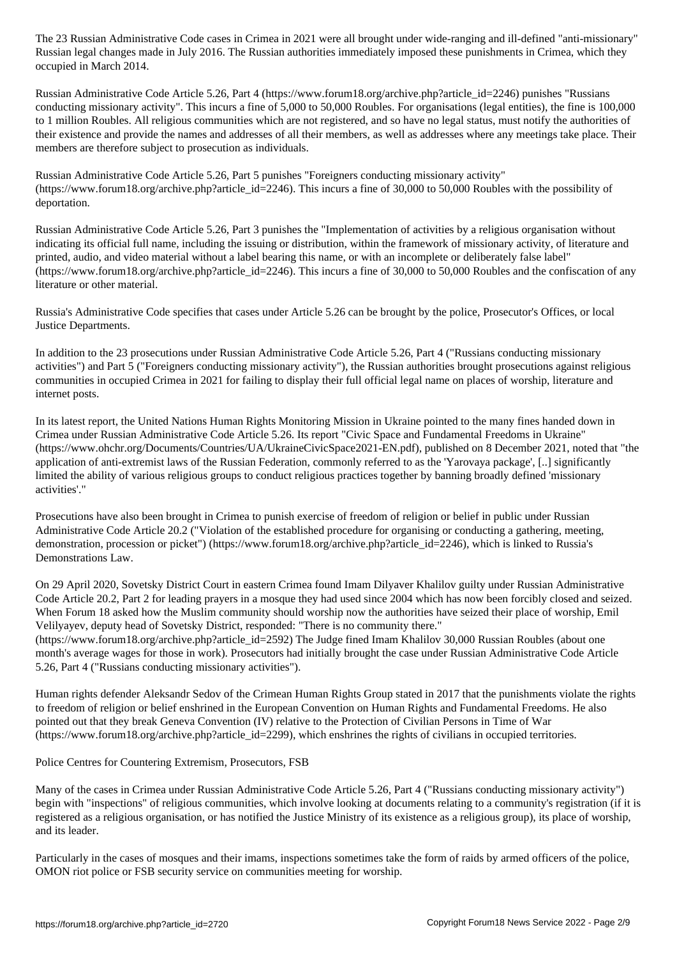Russian legal changes made in July 2016. The Russian authorities immediately imposed these punishments in Crimea, which they occupied in March 2014.

Russian Administrative Code Article 5.26, Part 4 (https://www.forum18.org/archive.php?article\_id=2246) punishes "Russians conducting missionary activity". This incurs a fine of 5,000 to 50,000 Roubles. For organisations (legal entities), the fine is 100,000 to 1 million Roubles. All religious communities which are not registered, and so have no legal status, must notify the authorities of their existence and provide the names and addresses of all their members, as well as addresses where any meetings take place. Their members are therefore subject to prosecution as individuals.

Russian Administrative Code Article 5.26, Part 5 punishes "Foreigners conducting missionary activity" (https://www.forum18.org/archive.php?article\_id=2246). This incurs a fine of 30,000 to 50,000 Roubles with the possibility of deportation.

Russian Administrative Code Article 5.26, Part 3 punishes the "Implementation of activities by a religious organisation without indicating its official full name, including the issuing or distribution, within the framework of missionary activity, of literature and printed, audio, and video material without a label bearing this name, or with an incomplete or deliberately false label"  $(\text{https://www.forum18.org/architecture.php?article id=2246).}$  This incurs a fine of 30,000 to 50,000 Roubles and the confiscation of any literature or other material.

Russia's Administrative Code specifies that cases under Article 5.26 can be brought by the police, Prosecutor's Offices, or local Justice Departments.

In addition to the 23 prosecutions under Russian Administrative Code Article 5.26, Part 4 ("Russians conducting missionary activities") and Part 5 ("Foreigners conducting missionary activity"), the Russian authorities brought prosecutions against religious communities in occupied Crimea in 2021 for failing to display their full official legal name on places of worship, literature and internet posts.

In its latest report, the United Nations Human Rights Monitoring Mission in Ukraine pointed to the many fines handed down in Crimea under Russian Administrative Code Article 5.26. Its report "Civic Space and Fundamental Freedoms in Ukraine" (https://www.ohchr.org/Documents/Countries/UA/UkraineCivicSpace2021-EN.pdf), published on 8 December 2021, noted that "the application of anti-extremist laws of the Russian Federation, commonly referred to as the 'Yarovaya package', [..] significantly limited the ability of various religious groups to conduct religious practices together by banning broadly defined 'missionary activities'."

Prosecutions have also been brought in Crimea to punish exercise of freedom of religion or belief in public under Russian Administrative Code Article 20.2 ("Violation of the established procedure for organising or conducting a gathering, meeting, demonstration, procession or picket") (https://www.forum18.org/archive.php?article\_id=2246), which is linked to Russia's Demonstrations Law.

On 29 April 2020, Sovetsky District Court in eastern Crimea found Imam Dilyaver Khalilov guilty under Russian Administrative Code Article 20.2, Part 2 for leading prayers in a mosque they had used since 2004 which has now been forcibly closed and seized. When Forum 18 asked how the Muslim community should worship now the authorities have seized their place of worship, Emil Velilyayev, deputy head of Sovetsky District, responded: "There is no community there."

(https://www.forum18.org/archive.php?article\_id=2592) The Judge fined Imam Khalilov 30,000 Russian Roubles (about one month's average wages for those in work). Prosecutors had initially brought the case under Russian Administrative Code Article 5.26, Part 4 ("Russians conducting missionary activities").

Human rights defender Aleksandr Sedov of the Crimean Human Rights Group stated in 2017 that the punishments violate the rights to freedom of religion or belief enshrined in the European Convention on Human Rights and Fundamental Freedoms. He also pointed out that they break Geneva Convention (IV) relative to the Protection of Civilian Persons in Time of War (https://www.forum18.org/archive.php?article\_id=2299), which enshrines the rights of civilians in occupied territories.

Police Centres for Countering Extremism, Prosecutors, FSB

Many of the cases in Crimea under Russian Administrative Code Article 5.26, Part 4 ("Russians conducting missionary activity") begin with "inspections" of religious communities, which involve looking at documents relating to a community's registration (if it is registered as a religious organisation, or has notified the Justice Ministry of its existence as a religious group), its place of worship, and its leader.

Particularly in the cases of mosques and their imams, inspections sometimes take the form of raids by armed officers of the police, OMON riot police or FSB security service on communities meeting for worship.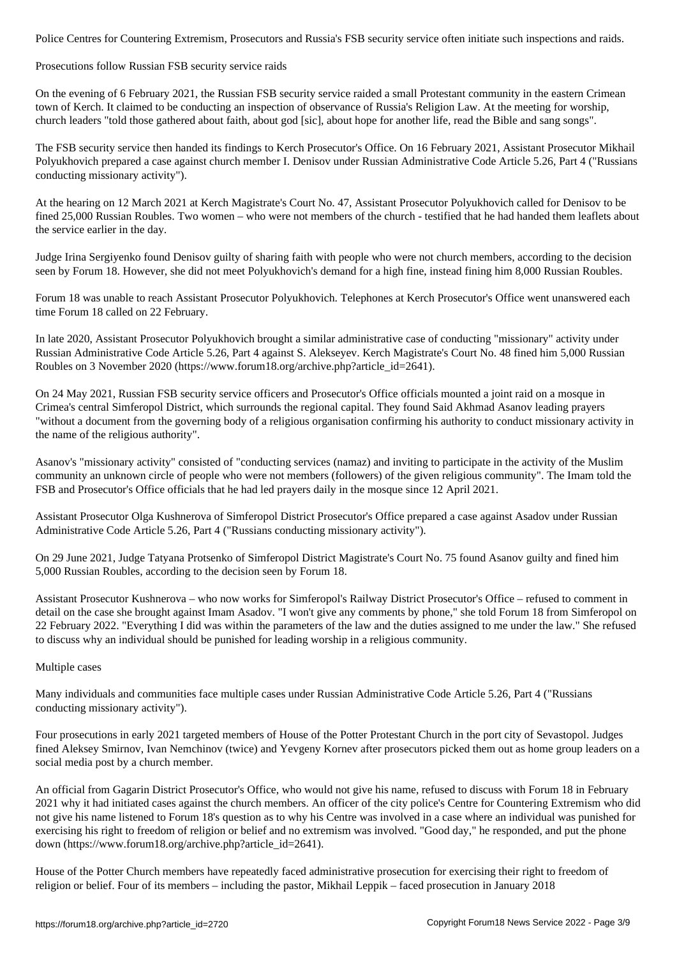Prosecutions follow Russian FSB security service raids

On the evening of 6 February 2021, the Russian FSB security service raided a small Protestant community in the eastern Crimean town of Kerch. It claimed to be conducting an inspection of observance of Russia's Religion Law. At the meeting for worship, church leaders "told those gathered about faith, about god [sic], about hope for another life, read the Bible and sang songs".

The FSB security service then handed its findings to Kerch Prosecutor's Office. On 16 February 2021, Assistant Prosecutor Mikhail Polyukhovich prepared a case against church member I. Denisov under Russian Administrative Code Article 5.26, Part 4 ("Russians conducting missionary activity").

At the hearing on 12 March 2021 at Kerch Magistrate's Court No. 47, Assistant Prosecutor Polyukhovich called for Denisov to be fined 25,000 Russian Roubles. Two women – who were not members of the church - testified that he had handed them leaflets about the service earlier in the day.

Judge Irina Sergiyenko found Denisov guilty of sharing faith with people who were not church members, according to the decision seen by Forum 18. However, she did not meet Polyukhovich's demand for a high fine, instead fining him 8,000 Russian Roubles.

Forum 18 was unable to reach Assistant Prosecutor Polyukhovich. Telephones at Kerch Prosecutor's Office went unanswered each time Forum 18 called on 22 February.

In late 2020, Assistant Prosecutor Polyukhovich brought a similar administrative case of conducting "missionary" activity under Russian Administrative Code Article 5.26, Part 4 against S. Alekseyev. Kerch Magistrate's Court No. 48 fined him 5,000 Russian Roubles on 3 November 2020 (https://www.forum18.org/archive.php?article\_id=2641).

On 24 May 2021, Russian FSB security service officers and Prosecutor's Office officials mounted a joint raid on a mosque in Crimea's central Simferopol District, which surrounds the regional capital. They found Said Akhmad Asanov leading prayers "without a document from the governing body of a religious organisation confirming his authority to conduct missionary activity in the name of the religious authority".

Asanov's "missionary activity" consisted of "conducting services (namaz) and inviting to participate in the activity of the Muslim community an unknown circle of people who were not members (followers) of the given religious community". The Imam told the FSB and Prosecutor's Office officials that he had led prayers daily in the mosque since 12 April 2021.

Assistant Prosecutor Olga Kushnerova of Simferopol District Prosecutor's Office prepared a case against Asadov under Russian Administrative Code Article 5.26, Part 4 ("Russians conducting missionary activity").

On 29 June 2021, Judge Tatyana Protsenko of Simferopol District Magistrate's Court No. 75 found Asanov guilty and fined him 5,000 Russian Roubles, according to the decision seen by Forum 18.

Assistant Prosecutor Kushnerova – who now works for Simferopol's Railway District Prosecutor's Office – refused to comment in detail on the case she brought against Imam Asadov. "I won't give any comments by phone," she told Forum 18 from Simferopol on 22 February 2022. "Everything I did was within the parameters of the law and the duties assigned to me under the law." She refused to discuss why an individual should be punished for leading worship in a religious community.

Multiple cases

Many individuals and communities face multiple cases under Russian Administrative Code Article 5.26, Part 4 ("Russians conducting missionary activity").

Four prosecutions in early 2021 targeted members of House of the Potter Protestant Church in the port city of Sevastopol. Judges fined Aleksey Smirnov, Ivan Nemchinov (twice) and Yevgeny Kornev after prosecutors picked them out as home group leaders on a social media post by a church member.

An official from Gagarin District Prosecutor's Office, who would not give his name, refused to discuss with Forum 18 in February 2021 why it had initiated cases against the church members. An officer of the city police's Centre for Countering Extremism who did not give his name listened to Forum 18's question as to why his Centre was involved in a case where an individual was punished for exercising his right to freedom of religion or belief and no extremism was involved. "Good day," he responded, and put the phone down (https://www.forum18.org/archive.php?article\_id=2641).

House of the Potter Church members have repeatedly faced administrative prosecution for exercising their right to freedom of religion or belief. Four of its members – including the pastor, Mikhail Leppik – faced prosecution in January 2018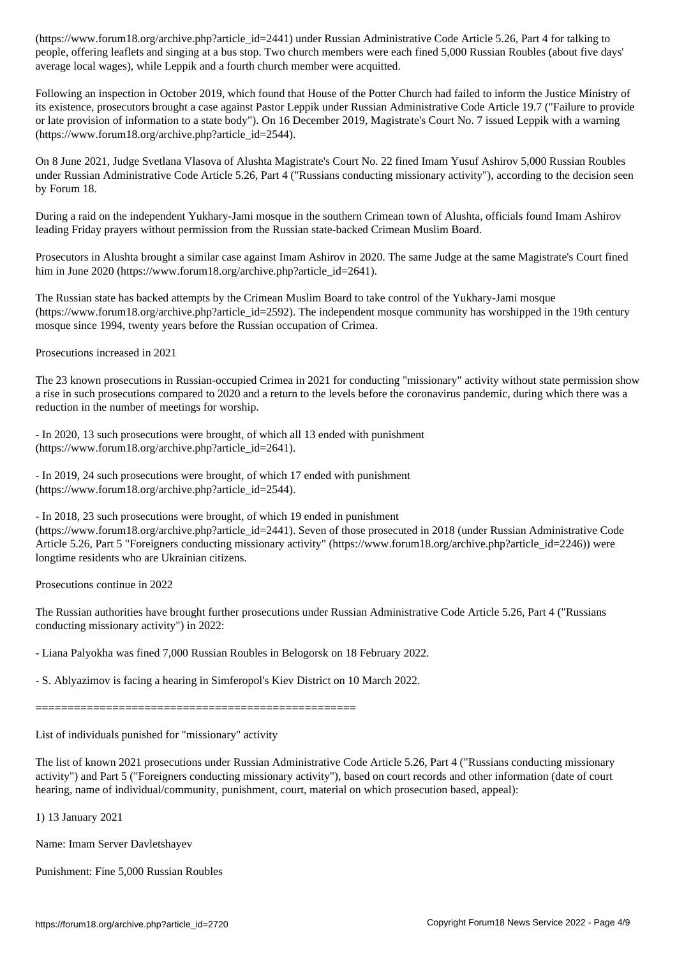people, offering leaflets and singing at a bus stop. Two church members were each fined 5,000 Russian Roubles (about five days' average local wages), while Leppik and a fourth church member were acquitted.

Following an inspection in October 2019, which found that House of the Potter Church had failed to inform the Justice Ministry of its existence, prosecutors brought a case against Pastor Leppik under Russian Administrative Code Article 19.7 ("Failure to provide or late provision of information to a state body"). On 16 December 2019, Magistrate's Court No. 7 issued Leppik with a warning (https://www.forum18.org/archive.php?article\_id=2544).

On 8 June 2021, Judge Svetlana Vlasova of Alushta Magistrate's Court No. 22 fined Imam Yusuf Ashirov 5,000 Russian Roubles under Russian Administrative Code Article 5.26, Part 4 ("Russians conducting missionary activity"), according to the decision seen by Forum 18.

During a raid on the independent Yukhary-Jami mosque in the southern Crimean town of Alushta, officials found Imam Ashirov leading Friday prayers without permission from the Russian state-backed Crimean Muslim Board.

Prosecutors in Alushta brought a similar case against Imam Ashirov in 2020. The same Judge at the same Magistrate's Court fined him in June 2020 (https://www.forum18.org/archive.php?article\_id=2641).

The Russian state has backed attempts by the Crimean Muslim Board to take control of the Yukhary-Jami mosque  $(\text{https://www.forum18.org/architecture.php?article id=2592})$ . The independent mosque community has worshipped in the 19th century mosque since 1994, twenty years before the Russian occupation of Crimea.

Prosecutions increased in 2021

The 23 known prosecutions in Russian-occupied Crimea in 2021 for conducting "missionary" activity without state permission show a rise in such prosecutions compared to 2020 and a return to the levels before the coronavirus pandemic, during which there was a reduction in the number of meetings for worship.

- In 2020, 13 such prosecutions were brought, of which all 13 ended with punishment (https://www.forum18.org/archive.php?article\_id=2641).

- In 2019, 24 such prosecutions were brought, of which 17 ended with punishment (https://www.forum18.org/archive.php?article\_id=2544).

- In 2018, 23 such prosecutions were brought, of which 19 ended in punishment

(https://www.forum18.org/archive.php?article\_id=2441). Seven of those prosecuted in 2018 (under Russian Administrative Code Article 5.26, Part 5 "Foreigners conducting missionary activity" (https://www.forum18.org/archive.php?article\_id=2246)) were longtime residents who are Ukrainian citizens.

Prosecutions continue in 2022

The Russian authorities have brought further prosecutions under Russian Administrative Code Article 5.26, Part 4 ("Russians conducting missionary activity") in 2022:

- Liana Palyokha was fined 7,000 Russian Roubles in Belogorsk on 18 February 2022.

- S. Ablyazimov is facing a hearing in Simferopol's Kiev District on 10 March 2022.

==================================================

List of individuals punished for "missionary" activity

The list of known 2021 prosecutions under Russian Administrative Code Article 5.26, Part 4 ("Russians conducting missionary activity") and Part 5 ("Foreigners conducting missionary activity"), based on court records and other information (date of court hearing, name of individual/community, punishment, court, material on which prosecution based, appeal):

1) 13 January 2021

Name: Imam Server Davletshayev

Punishment: Fine 5,000 Russian Roubles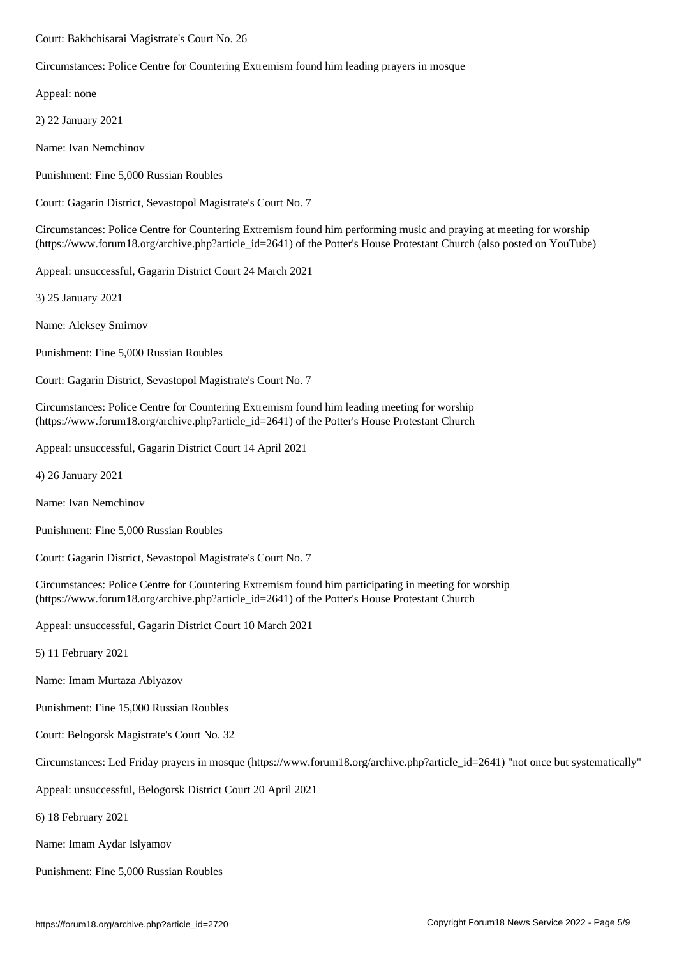Circumstances: Police Centre for Countering Extremism found him leading prayers in mosque

Appeal: none

2) 22 January 2021

Name: Ivan Nemchinov

Punishment: Fine 5,000 Russian Roubles

Court: Gagarin District, Sevastopol Magistrate's Court No. 7

Circumstances: Police Centre for Countering Extremism found him performing music and praying at meeting for worship (https://www.forum18.org/archive.php?article\_id=2641) of the Potter's House Protestant Church (also posted on YouTube)

Appeal: unsuccessful, Gagarin District Court 24 March 2021

3) 25 January 2021

Name: Aleksey Smirnov

Punishment: Fine 5,000 Russian Roubles

Court: Gagarin District, Sevastopol Magistrate's Court No. 7

Circumstances: Police Centre for Countering Extremism found him leading meeting for worship (https://www.forum18.org/archive.php?article\_id=2641) of the Potter's House Protestant Church

Appeal: unsuccessful, Gagarin District Court 14 April 2021

4) 26 January 2021

Name: Ivan Nemchinov

Punishment: Fine 5,000 Russian Roubles

Court: Gagarin District, Sevastopol Magistrate's Court No. 7

Circumstances: Police Centre for Countering Extremism found him participating in meeting for worship (https://www.forum18.org/archive.php?article\_id=2641) of the Potter's House Protestant Church

Appeal: unsuccessful, Gagarin District Court 10 March 2021

5) 11 February 2021

Name: Imam Murtaza Ablyazov

Punishment: Fine 15,000 Russian Roubles

Court: Belogorsk Magistrate's Court No. 32

Circumstances: Led Friday prayers in mosque (https://www.forum18.org/archive.php?article\_id=2641) "not once but systematically"

Appeal: unsuccessful, Belogorsk District Court 20 April 2021

6) 18 February 2021

Name: Imam Aydar Islyamov

Punishment: Fine 5,000 Russian Roubles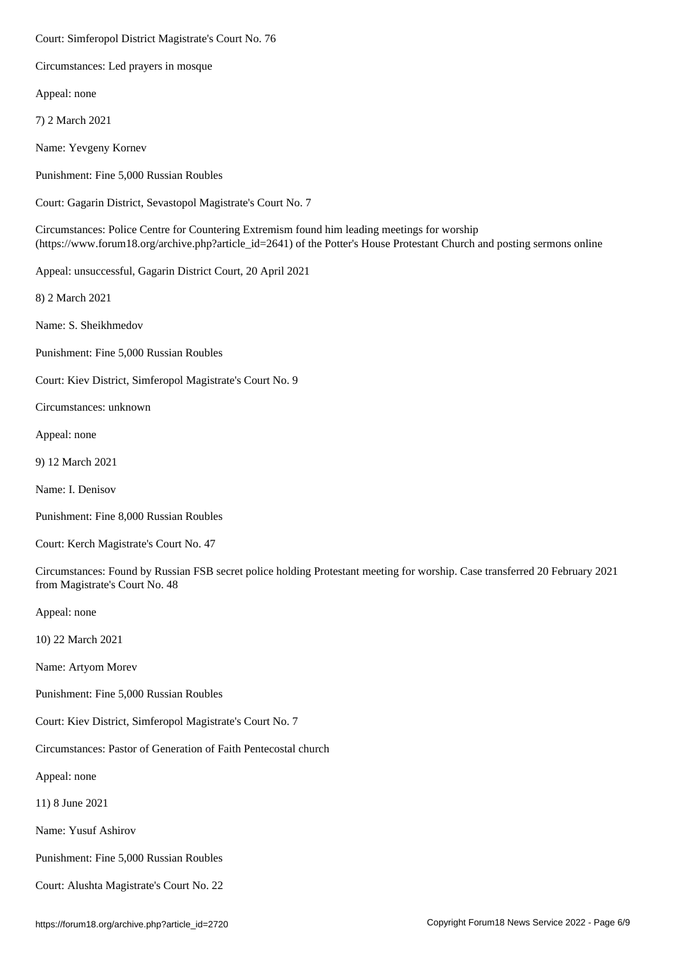Circumstances: Led prayers in mosque

Appeal: none

7) 2 March 2021

Name: Yevgeny Kornev

Punishment: Fine 5,000 Russian Roubles

Court: Gagarin District, Sevastopol Magistrate's Court No. 7

Circumstances: Police Centre for Countering Extremism found him leading meetings for worship (https://www.forum18.org/archive.php?article\_id=2641) of the Potter's House Protestant Church and posting sermons online

Appeal: unsuccessful, Gagarin District Court, 20 April 2021

8) 2 March 2021

Name: S. Sheikhmedov

Punishment: Fine 5,000 Russian Roubles

Court: Kiev District, Simferopol Magistrate's Court No. 9

Circumstances: unknown

Appeal: none

9) 12 March 2021

Name: I. Denisov

Punishment: Fine 8,000 Russian Roubles

Court: Kerch Magistrate's Court No. 47

Circumstances: Found by Russian FSB secret police holding Protestant meeting for worship. Case transferred 20 February 2021 from Magistrate's Court No. 48

Appeal: none

10) 22 March 2021

Name: Artyom Morev

Punishment: Fine 5,000 Russian Roubles

Court: Kiev District, Simferopol Magistrate's Court No. 7

Circumstances: Pastor of Generation of Faith Pentecostal church

Appeal: none

11) 8 June 2021

Name: Yusuf Ashirov

Punishment: Fine 5,000 Russian Roubles

Court: Alushta Magistrate's Court No. 22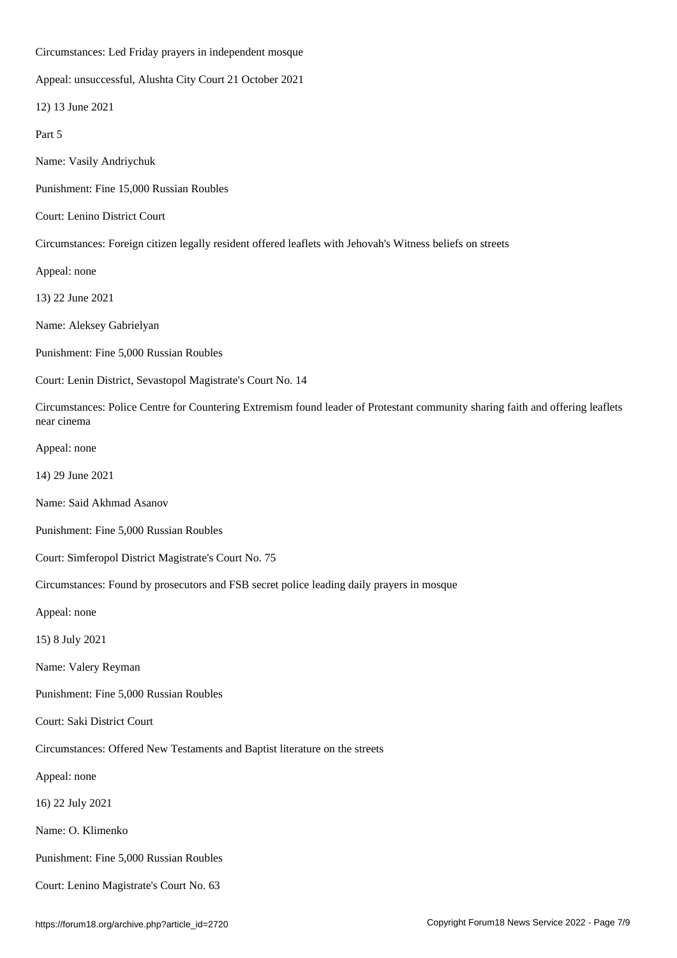Circumstances: Led Friday prayers in independent mosque

Appeal: unsuccessful, Alushta City Court 21 October 2021

12) 13 June 2021

Part 5

Name: Vasily Andriychuk

Punishment: Fine 15,000 Russian Roubles

Court: Lenino District Court

Circumstances: Foreign citizen legally resident offered leaflets with Jehovah's Witness beliefs on streets

Appeal: none

13) 22 June 2021

Name: Aleksey Gabrielyan

Punishment: Fine 5,000 Russian Roubles

Court: Lenin District, Sevastopol Magistrate's Court No. 14

Circumstances: Police Centre for Countering Extremism found leader of Protestant community sharing faith and offering leaflets near cinema

Appeal: none

14) 29 June 2021

Name: Said Akhmad Asanov

Punishment: Fine 5,000 Russian Roubles

Court: Simferopol District Magistrate's Court No. 75

Circumstances: Found by prosecutors and FSB secret police leading daily prayers in mosque

Appeal: none

15) 8 July 2021

Name: Valery Reyman

Punishment: Fine 5,000 Russian Roubles

Court: Saki District Court

Circumstances: Offered New Testaments and Baptist literature on the streets

Appeal: none

16) 22 July 2021

Name: O. Klimenko

Punishment: Fine 5,000 Russian Roubles

Court: Lenino Magistrate's Court No. 63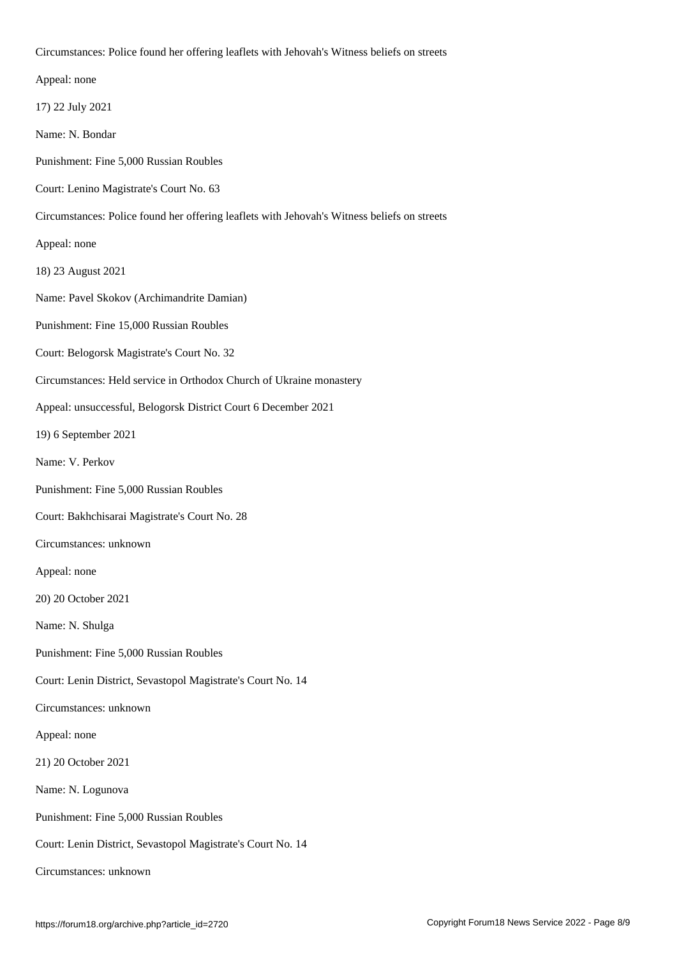|  | Appeal: none |
|--|--------------|

17) 22 July 2021

Name: N. Bondar

Punishment: Fine 5,000 Russian Roubles

Court: Lenino Magistrate's Court No. 63

Circumstances: Police found her offering leaflets with Jehovah's Witness beliefs on streets

 $C$ ircumstances: Police found her offering leaflets with Jehovah's Witness beliefs on streets on streets on streets on streets on streets with Jehovah's Witness beliefs on streets on streets with Jehovah's Witness beliefs

Appeal: none

18) 23 August 2021

Name: Pavel Skokov (Archimandrite Damian)

Punishment: Fine 15,000 Russian Roubles

Court: Belogorsk Magistrate's Court No. 32

Circumstances: Held service in Orthodox Church of Ukraine monastery

Appeal: unsuccessful, Belogorsk District Court 6 December 2021

19) 6 September 2021

Name: V. Perkov

Punishment: Fine 5,000 Russian Roubles

Court: Bakhchisarai Magistrate's Court No. 28

Circumstances: unknown

Appeal: none

20) 20 October 2021

Name: N. Shulga

Punishment: Fine 5,000 Russian Roubles

Court: Lenin District, Sevastopol Magistrate's Court No. 14

Circumstances: unknown

Appeal: none

21) 20 October 2021

Name: N. Logunova

Punishment: Fine 5,000 Russian Roubles

Court: Lenin District, Sevastopol Magistrate's Court No. 14

Circumstances: unknown